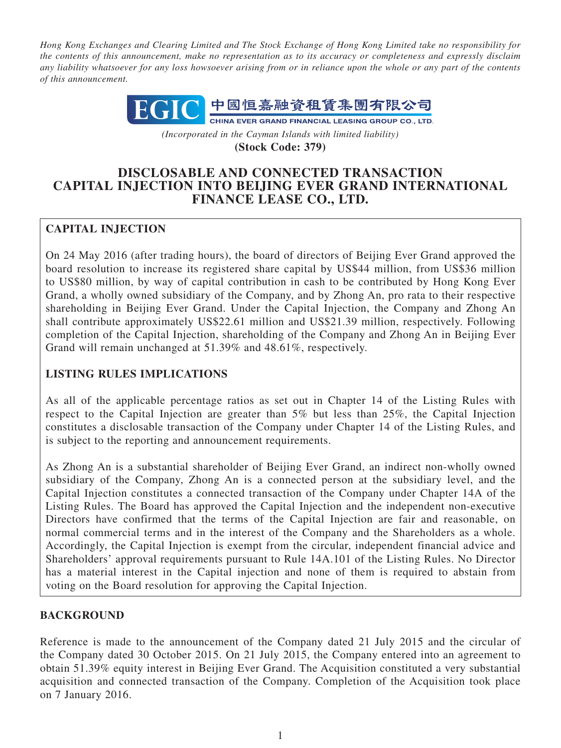*Hong Kong Exchanges and Clearing Limited and The Stock Exchange of Hong Kong Limited take no responsibility for the contents of this announcement, make no representation as to its accuracy or completeness and expressly disclaim any liability whatsoever for any loss howsoever arising from or in reliance upon the whole or any part of the contents of this announcement.*



*(Incorporated in the Cayman Islands with limited liability)* **(Stock Code: 379)**

# **DISCLOSABLE AND CONNECTED TRANSACTION CAPITAL INJECTION INTO BEIJING EVER GRAND INTERNATIONAL FINANCE LEASE CO., LTD.**

# **CAPITAL INJECTION**

On 24 May 2016 (after trading hours), the board of directors of Beijing Ever Grand approved the board resolution to increase its registered share capital by US\$44 million, from US\$36 million to US\$80 million, by way of capital contribution in cash to be contributed by Hong Kong Ever Grand, a wholly owned subsidiary of the Company, and by Zhong An, pro rata to their respective shareholding in Beijing Ever Grand. Under the Capital Injection, the Company and Zhong An shall contribute approximately US\$22.61 million and US\$21.39 million, respectively. Following completion of the Capital Injection, shareholding of the Company and Zhong An in Beijing Ever Grand will remain unchanged at 51.39% and 48.61%, respectively.

## **LISTING RULES IMPLICATIONS**

As all of the applicable percentage ratios as set out in Chapter 14 of the Listing Rules with respect to the Capital Injection are greater than 5% but less than 25%, the Capital Injection constitutes a disclosable transaction of the Company under Chapter 14 of the Listing Rules, and is subject to the reporting and announcement requirements.

As Zhong An is a substantial shareholder of Beijing Ever Grand, an indirect non-wholly owned subsidiary of the Company, Zhong An is a connected person at the subsidiary level, and the Capital Injection constitutes a connected transaction of the Company under Chapter 14A of the Listing Rules. The Board has approved the Capital Injection and the independent non-executive Directors have confirmed that the terms of the Capital Injection are fair and reasonable, on normal commercial terms and in the interest of the Company and the Shareholders as a whole. Accordingly, the Capital Injection is exempt from the circular, independent financial advice and Shareholders' approval requirements pursuant to Rule 14A.101 of the Listing Rules. No Director has a material interest in the Capital injection and none of them is required to abstain from voting on the Board resolution for approving the Capital Injection.

## **BACKGROUND**

Reference is made to the announcement of the Company dated 21 July 2015 and the circular of the Company dated 30 October 2015. On 21 July 2015, the Company entered into an agreement to obtain 51.39% equity interest in Beijing Ever Grand. The Acquisition constituted a very substantial acquisition and connected transaction of the Company. Completion of the Acquisition took place on 7 January 2016.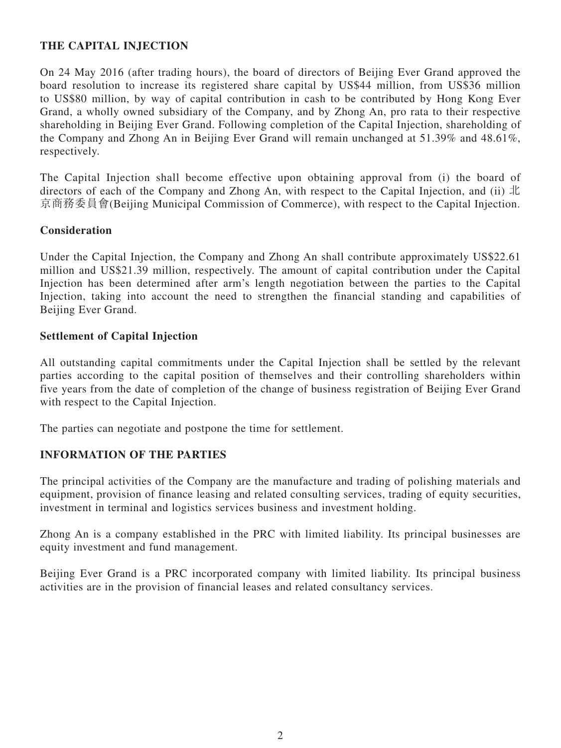## **THE CAPITAL INJECTION**

On 24 May 2016 (after trading hours), the board of directors of Beijing Ever Grand approved the board resolution to increase its registered share capital by US\$44 million, from US\$36 million to US\$80 million, by way of capital contribution in cash to be contributed by Hong Kong Ever Grand, a wholly owned subsidiary of the Company, and by Zhong An, pro rata to their respective shareholding in Beijing Ever Grand. Following completion of the Capital Injection, shareholding of the Company and Zhong An in Beijing Ever Grand will remain unchanged at 51.39% and 48.61%, respectively.

The Capital Injection shall become effective upon obtaining approval from (i) the board of directors of each of the Company and Zhong An, with respect to the Capital Injection, and (ii) 北 京商務委員會(Beijing Municipal Commission of Commerce), with respect to the Capital Injection.

#### **Consideration**

Under the Capital Injection, the Company and Zhong An shall contribute approximately US\$22.61 million and US\$21.39 million, respectively. The amount of capital contribution under the Capital Injection has been determined after arm's length negotiation between the parties to the Capital Injection, taking into account the need to strengthen the financial standing and capabilities of Beijing Ever Grand.

#### **Settlement of Capital Injection**

All outstanding capital commitments under the Capital Injection shall be settled by the relevant parties according to the capital position of themselves and their controlling shareholders within five years from the date of completion of the change of business registration of Beijing Ever Grand with respect to the Capital Injection.

The parties can negotiate and postpone the time for settlement.

## **INFORMATION OF THE PARTIES**

The principal activities of the Company are the manufacture and trading of polishing materials and equipment, provision of finance leasing and related consulting services, trading of equity securities, investment in terminal and logistics services business and investment holding.

Zhong An is a company established in the PRC with limited liability. Its principal businesses are equity investment and fund management.

Beijing Ever Grand is a PRC incorporated company with limited liability. Its principal business activities are in the provision of financial leases and related consultancy services.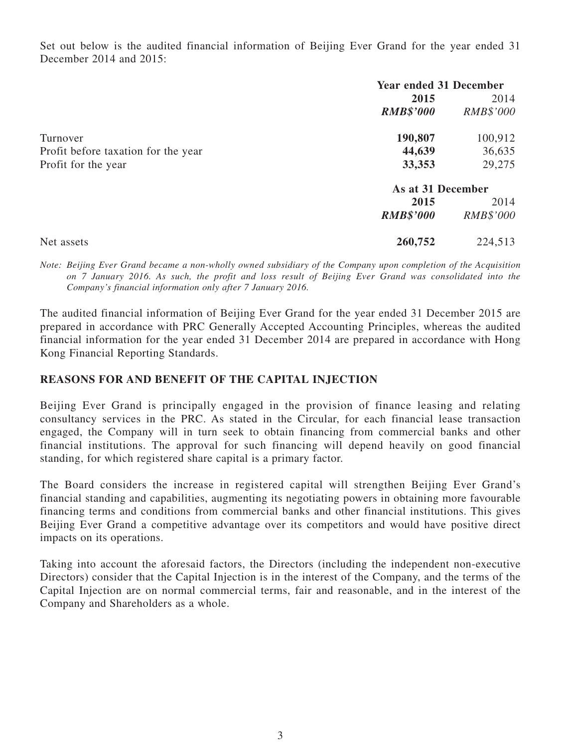Set out below is the audited financial information of Beijing Ever Grand for the year ended 31 December 2014 and 2015:

|                                     | <b>Year ended 31 December</b> |                  |
|-------------------------------------|-------------------------------|------------------|
|                                     | 2015                          | 2014             |
|                                     | <b>RMB\$'000</b>              | <i>RMB\$'000</i> |
| Turnover                            | 190,807                       | 100,912          |
| Profit before taxation for the year | 44,639                        | 36,635           |
| Profit for the year                 | 33,353                        | 29,275           |
|                                     | As at 31 December             |                  |
|                                     | 2015                          | 2014             |
|                                     | <b>RMB\$'000</b>              | RMB\$'000        |
| Net assets                          | 260,752                       | 224,513          |

*Note: Beijing Ever Grand became a non-wholly owned subsidiary of the Company upon completion of the Acquisition on 7 January 2016. As such, the profit and loss result of Beijing Ever Grand was consolidated into the Company's financial information only after 7 January 2016.*

The audited financial information of Beijing Ever Grand for the year ended 31 December 2015 are prepared in accordance with PRC Generally Accepted Accounting Principles, whereas the audited financial information for the year ended 31 December 2014 are prepared in accordance with Hong Kong Financial Reporting Standards.

## **REASONS FOR AND BENEFIT OF THE CAPITAL INJECTION**

Beijing Ever Grand is principally engaged in the provision of finance leasing and relating consultancy services in the PRC. As stated in the Circular, for each financial lease transaction engaged, the Company will in turn seek to obtain financing from commercial banks and other financial institutions. The approval for such financing will depend heavily on good financial standing, for which registered share capital is a primary factor.

The Board considers the increase in registered capital will strengthen Beijing Ever Grand's financial standing and capabilities, augmenting its negotiating powers in obtaining more favourable financing terms and conditions from commercial banks and other financial institutions. This gives Beijing Ever Grand a competitive advantage over its competitors and would have positive direct impacts on its operations.

Taking into account the aforesaid factors, the Directors (including the independent non-executive Directors) consider that the Capital Injection is in the interest of the Company, and the terms of the Capital Injection are on normal commercial terms, fair and reasonable, and in the interest of the Company and Shareholders as a whole.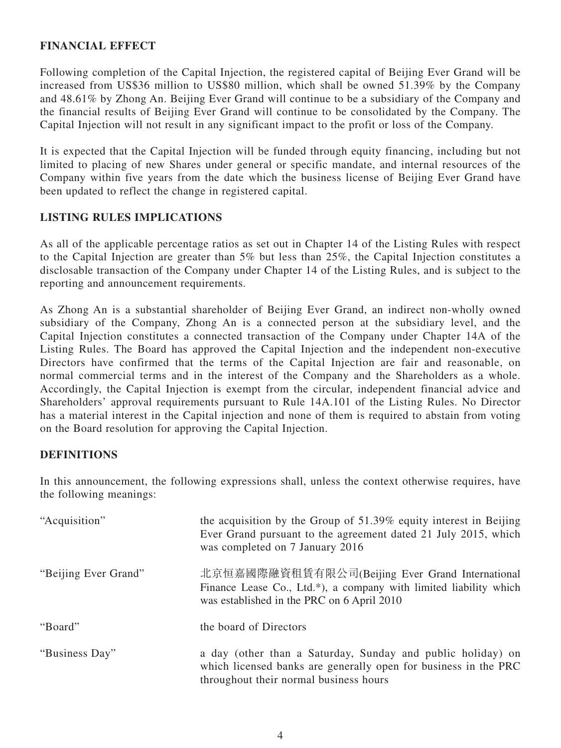## **FINANCIAL EFFECT**

Following completion of the Capital Injection, the registered capital of Beijing Ever Grand will be increased from US\$36 million to US\$80 million, which shall be owned 51.39% by the Company and 48.61% by Zhong An. Beijing Ever Grand will continue to be a subsidiary of the Company and the financial results of Beijing Ever Grand will continue to be consolidated by the Company. The Capital Injection will not result in any significant impact to the profit or loss of the Company.

It is expected that the Capital Injection will be funded through equity financing, including but not limited to placing of new Shares under general or specific mandate, and internal resources of the Company within five years from the date which the business license of Beijing Ever Grand have been updated to reflect the change in registered capital.

#### **LISTING RULES IMPLICATIONS**

As all of the applicable percentage ratios as set out in Chapter 14 of the Listing Rules with respect to the Capital Injection are greater than 5% but less than 25%, the Capital Injection constitutes a disclosable transaction of the Company under Chapter 14 of the Listing Rules, and is subject to the reporting and announcement requirements.

As Zhong An is a substantial shareholder of Beijing Ever Grand, an indirect non-wholly owned subsidiary of the Company, Zhong An is a connected person at the subsidiary level, and the Capital Injection constitutes a connected transaction of the Company under Chapter 14A of the Listing Rules. The Board has approved the Capital Injection and the independent non-executive Directors have confirmed that the terms of the Capital Injection are fair and reasonable, on normal commercial terms and in the interest of the Company and the Shareholders as a whole. Accordingly, the Capital Injection is exempt from the circular, independent financial advice and Shareholders' approval requirements pursuant to Rule 14A.101 of the Listing Rules. No Director has a material interest in the Capital injection and none of them is required to abstain from voting on the Board resolution for approving the Capital Injection.

#### **DEFINITIONS**

In this announcement, the following expressions shall, unless the context otherwise requires, have the following meanings:

| "Acquisition"        | the acquisition by the Group of $51.39\%$ equity interest in Beijing<br>Ever Grand pursuant to the agreement dated 21 July 2015, which<br>was completed on 7 January 2016 |
|----------------------|---------------------------------------------------------------------------------------------------------------------------------------------------------------------------|
| "Beijing Ever Grand" | 北京恒嘉國際融資租賃有限公司(Beijing Ever Grand International<br>Finance Lease Co., Ltd.*), a company with limited liability which<br>was established in the PRC on 6 April 2010        |
| "Board"              | the board of Directors                                                                                                                                                    |
| "Business Day"       | a day (other than a Saturday, Sunday and public holiday) on<br>which licensed banks are generally open for business in the PRC<br>throughout their normal business hours  |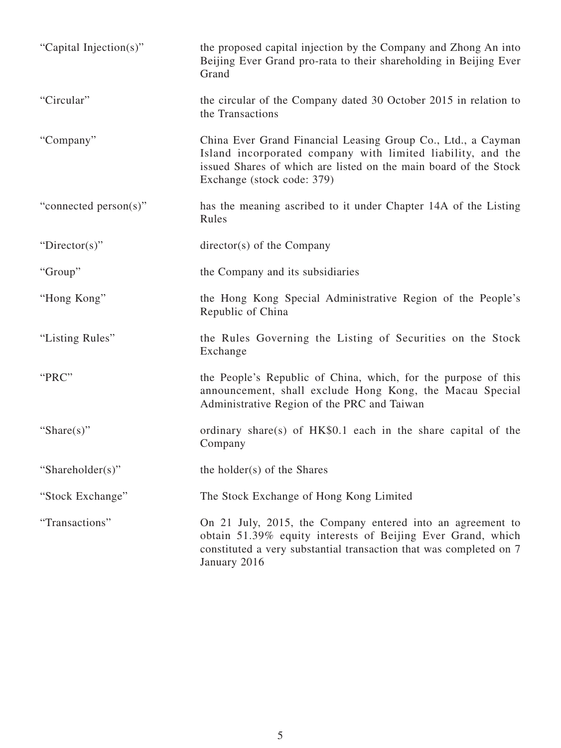| "Capital Injection(s)" | the proposed capital injection by the Company and Zhong An into<br>Beijing Ever Grand pro-rata to their shareholding in Beijing Ever<br>Grand                                                                                 |
|------------------------|-------------------------------------------------------------------------------------------------------------------------------------------------------------------------------------------------------------------------------|
| "Circular"             | the circular of the Company dated 30 October 2015 in relation to<br>the Transactions                                                                                                                                          |
| "Company"              | China Ever Grand Financial Leasing Group Co., Ltd., a Cayman<br>Island incorporated company with limited liability, and the<br>issued Shares of which are listed on the main board of the Stock<br>Exchange (stock code: 379) |
| "connected person(s)"  | has the meaning ascribed to it under Chapter 14A of the Listing<br>Rules                                                                                                                                                      |
| "Director(s)"          | $\text{directory}(s)$ of the Company                                                                                                                                                                                          |
| "Group"                | the Company and its subsidiaries                                                                                                                                                                                              |
| "Hong Kong"            | the Hong Kong Special Administrative Region of the People's<br>Republic of China                                                                                                                                              |
| "Listing Rules"        | the Rules Governing the Listing of Securities on the Stock<br>Exchange                                                                                                                                                        |
| "PRC"                  | the People's Republic of China, which, for the purpose of this<br>announcement, shall exclude Hong Kong, the Macau Special<br>Administrative Region of the PRC and Taiwan                                                     |
| "Share $(s)$ "         | ordinary share(s) of HK\$0.1 each in the share capital of the<br>Company                                                                                                                                                      |
| "Shareholder(s)"       | the holder(s) of the Shares                                                                                                                                                                                                   |
| "Stock Exchange"       | The Stock Exchange of Hong Kong Limited                                                                                                                                                                                       |
| "Transactions"         | On 21 July, 2015, the Company entered into an agreement to<br>obtain 51.39% equity interests of Beijing Ever Grand, which<br>constituted a very substantial transaction that was completed on 7<br>January 2016               |